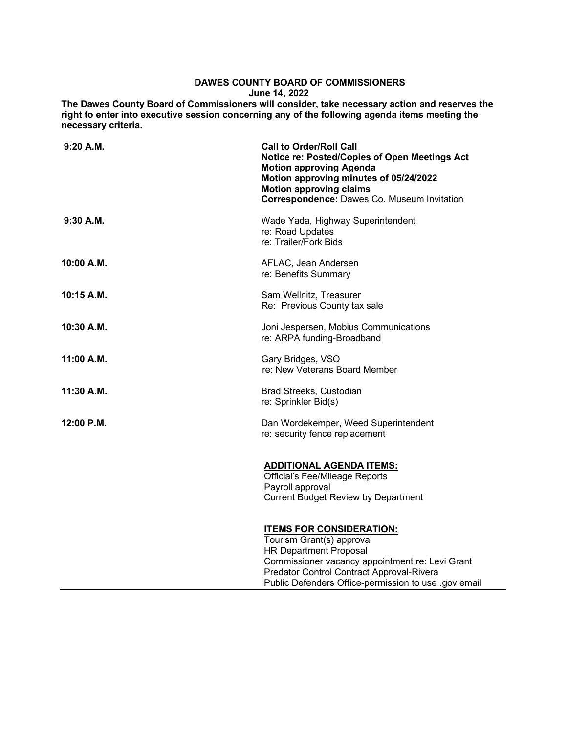## **DAWES COUNTY BOARD OF COMMISSIONERS June 14, 2022**

**The Dawes County Board of Commissioners will consider, take necessary action and reserves the right to enter into executive session concerning any of the following agenda items meeting the necessary criteria.**

| $9:20$ A.M. | <b>Call to Order/Roll Call</b><br>Notice re: Posted/Copies of Open Meetings Act<br><b>Motion approving Agenda</b><br>Motion approving minutes of 05/24/2022<br><b>Motion approving claims</b><br>Correspondence: Dawes Co. Museum Invitation          |
|-------------|-------------------------------------------------------------------------------------------------------------------------------------------------------------------------------------------------------------------------------------------------------|
| $9:30$ A.M. | Wade Yada, Highway Superintendent<br>re: Road Updates<br>re: Trailer/Fork Bids                                                                                                                                                                        |
| 10:00 A.M.  | AFLAC, Jean Andersen<br>re: Benefits Summary                                                                                                                                                                                                          |
| 10:15 A.M.  | Sam Wellnitz, Treasurer<br>Re: Previous County tax sale                                                                                                                                                                                               |
| 10:30 A.M.  | Joni Jespersen, Mobius Communications<br>re: ARPA funding-Broadband                                                                                                                                                                                   |
| 11:00 A.M.  | Gary Bridges, VSO<br>re: New Veterans Board Member                                                                                                                                                                                                    |
| 11:30 A.M.  | Brad Streeks, Custodian<br>re: Sprinkler Bid(s)                                                                                                                                                                                                       |
| 12:00 P.M.  | Dan Wordekemper, Weed Superintendent<br>re: security fence replacement                                                                                                                                                                                |
|             | <b>ADDITIONAL AGENDA ITEMS:</b><br><b>Official's Fee/Mileage Reports</b><br>Payroll approval<br><b>Current Budget Review by Department</b>                                                                                                            |
|             | <b>ITEMS FOR CONSIDERATION:</b><br>Tourism Grant(s) approval<br><b>HR Department Proposal</b><br>Commissioner vacancy appointment re: Levi Grant<br>Predator Control Contract Approval-Rivera<br>Public Defenders Office-permission to use .gov email |